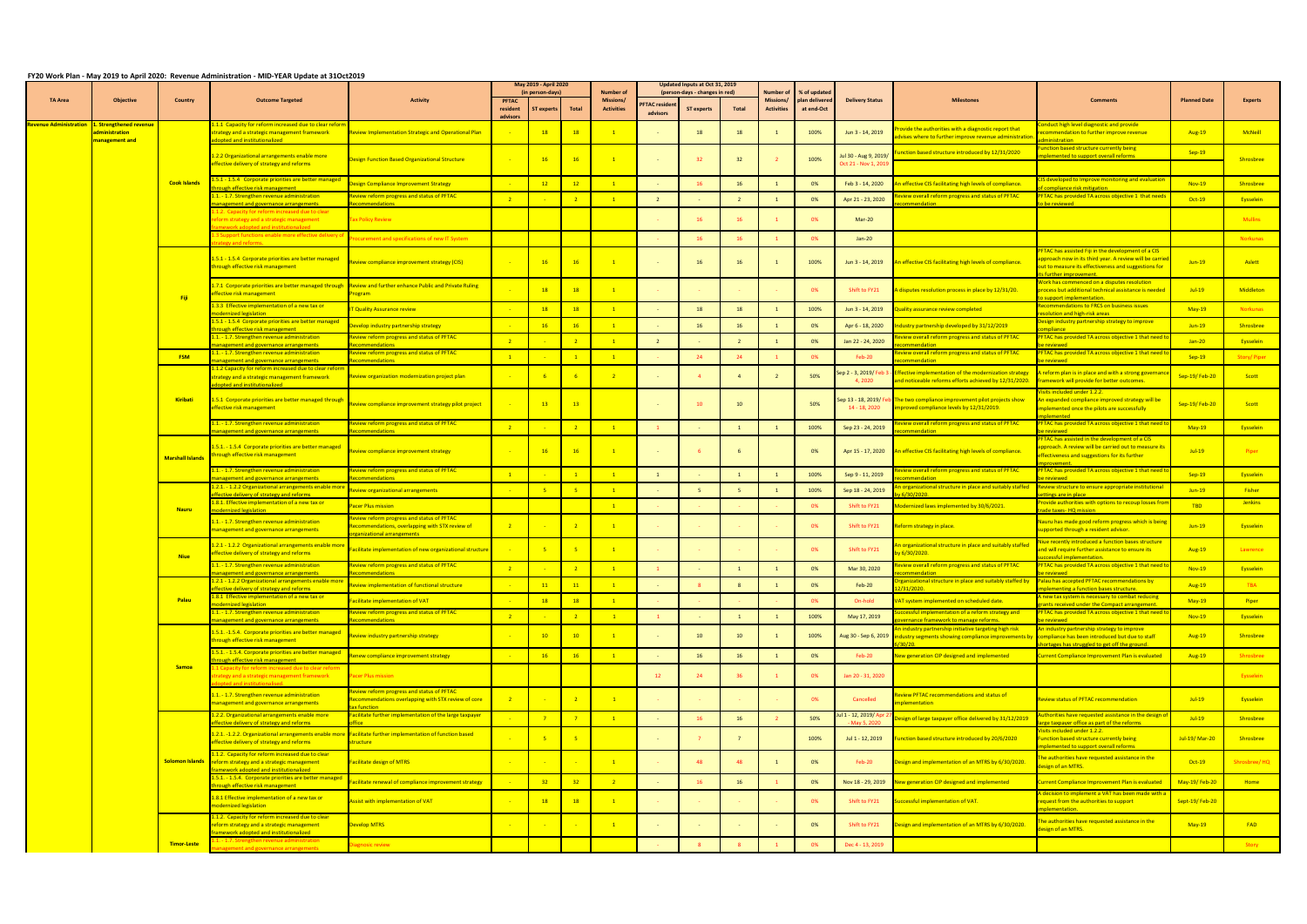|                               |                                                           |                         |                                                                                                                                                            |                                                                                                                          | May 2019 - April 2020<br>(in person-days) |                 | <b>Number of</b> | Updated Inputs at Oct 31, 2019<br>(person-days - changes in red) |                                 | Number          |       | % of update                           |                             |                                              |                                                                                                                                                        |                                                                                                                                                                                               |                     |                  |
|-------------------------------|-----------------------------------------------------------|-------------------------|------------------------------------------------------------------------------------------------------------------------------------------------------------|--------------------------------------------------------------------------------------------------------------------------|-------------------------------------------|-----------------|------------------|------------------------------------------------------------------|---------------------------------|-----------------|-------|---------------------------------------|-----------------------------|----------------------------------------------|--------------------------------------------------------------------------------------------------------------------------------------------------------|-----------------------------------------------------------------------------------------------------------------------------------------------------------------------------------------------|---------------------|------------------|
| <b>TA Area</b>                | <b>Objective</b>                                          | <b>Country</b>          | <b>Outcome Targeted</b>                                                                                                                                    | <b>Activity</b>                                                                                                          | <b>PFTAC</b><br>resident<br>advisors      | ST experts      | <b>Total</b>     | <b>Missions/</b><br><b>Activities</b>                            | <b>FTAC residen</b><br>advisors | ST experts      | Total | <b>Missions/</b><br><b>Activities</b> | plan delivere<br>at end-Oct | <b>Delivery Status</b>                       | Milestones                                                                                                                                             | Comment:                                                                                                                                                                                      | <b>Planned Date</b> | <b>Experts</b>   |
| <u>levenue Administration</u> | L. Strengthened revenue<br>ministration<br>nanagement and |                         | .1.1 Capacity for reform increased due to clear refor<br>trategy and a strategic management framework<br>opted and institutionalized                       | eview Implementation Strategic and Operational Plan                                                                      |                                           | <b>18</b>       | 18               | $\overline{1}$                                                   |                                 | 18              | -18   |                                       | 100%                        | Jun 3 - 14, 2019                             | ovide the authorities with a diagnostic report that<br><mark>lvises where to further improve revenue administratio</mark>                              | nduct high level diagnostic and provide<br>commendation to further improve revenue<br>ninictration                                                                                            | <b>Aug-19</b>       | McNeill          |
|                               |                                                           |                         | 1.2.2 Organizational arrangements enable more<br>fective delivery of strategy and reforms                                                                  | <b>Design Function Based Organizational Structure</b>                                                                    |                                           | 16              | 16               | $\overline{1}$                                                   |                                 | 32 <sup>2</sup> | 32    |                                       | 100%                        | Jul 30 - Aug 9, 2019<br>Oct 21 - Nov 1, 2019 | nction based structure introduced by 12/31/2020                                                                                                        | nction based structure currently being<br>emented to support overall reforms                                                                                                                  | $Sep-19$            | <b>Shrosbree</b> |
|                               |                                                           | <b>Cook Islands</b>     | 5.1 - 1.5.4 Corporate priorities are better managed                                                                                                        | esign Compliance Improvement Strategy                                                                                    |                                           | 12              | 12               | $\overline{1}$                                                   |                                 | 16              | 16    |                                       | 0%                          | Feb 3 - 14, 2020                             | effective CIS facilitating high levels of compliance.                                                                                                  | IS developed to Improve monitoring and evaluation                                                                                                                                             | <b>Nov-19</b>       | <b>Shrosbree</b> |
|                               |                                                           |                         | ugh effective risk management<br>.1. - 1.7. Strengthen revenue administration<br>ement and governance arrangements                                         | eview reform progress and status of PFTAC                                                                                | $\sqrt{2}$                                |                 |                  | $\boxed{1}$                                                      |                                 |                 |       | $\overline{1}$                        | 0%                          | Apr 21 - 23, 2020                            | view overall reform progress and status of PFTAC<br>endation                                                                                           | mpliance risk mitigation<br><b>FTAC has provided TA across objective 1 that need</b>                                                                                                          | $Oct-19$            | Eysselein        |
|                               |                                                           |                         | 1.2. Capacity for reform increased due to clear<br>form strategy and a strategic management                                                                | ax Policy Review                                                                                                         |                                           |                 |                  |                                                                  |                                 | 16              |       |                                       | 0%                          | Mar-20                                       |                                                                                                                                                        |                                                                                                                                                                                               |                     | <b>Mullins</b>   |
|                               |                                                           |                         | 3 Support functions enable more effective delivery o<br><b>PRV and reforms</b>                                                                             | ocurement and specifications of new IT System                                                                            |                                           |                 |                  |                                                                  |                                 | 16              |       |                                       | 0%                          | $Jan-20$                                     |                                                                                                                                                        |                                                                                                                                                                                               |                     | Norkunas         |
|                               |                                                           |                         | 1.5.1 - 1.5.4 Corporate priorities are better managed<br>hrough effective risk management                                                                  | <u>eview compliance improvement strategy (CIS) </u>                                                                      |                                           | 16              | 16               | $\overline{1}$                                                   |                                 | 16              | 16    |                                       | 100%                        | Jun 3 - 14, 2019                             | An effective CIS facilitating high levels of compliance.                                                                                               | FTAC has assisted Fiji in the development of a CIS<br>pproach now in its third year. A review will be carrid<br>ut to measure its effectiveness and suggestions for<br>s further improvement. | $Jun-19$            | Aslett           |
|                               |                                                           | Fiji                    | 7.1 Corporate priorities are better managed through<br><u>ffective risk management</u>                                                                     | <b>Review and further enhance Public and Private Ruling</b><br>rogram                                                    |                                           | 18              | 18               | $\overline{1}$                                                   |                                 |                 |       |                                       | 0%                          | Shift to FY21                                | A disputes resolution process in place by 12/31/20.                                                                                                    | Vork has commenced on a disputes resolution<br>rocess but additional technical assistance is needec<br>sunnort implementation                                                                 | $Jul-19$            | <b>Middleton</b> |
|                               |                                                           |                         | .3.3 Effective implementation of a new tax or<br>dernized legislation                                                                                      | <b>Quality Assurance review</b>                                                                                          |                                           | 18              | <b>18</b>        |                                                                  |                                 | 18              | 18    |                                       | 100%                        | Jun 3 - 14, 2019                             | luality assurance review completed                                                                                                                     | ecommendations to FRCS on business issues<br>esolution and high-risk areas                                                                                                                    | $May-19$            | <b>Norkunas</b>  |
|                               |                                                           |                         | .5.1 - 1.5.4 Corporate priorities are better managed<br>ugh effective risk managem                                                                         | evelop industry partnership strategy                                                                                     |                                           | 16              | 16               | $\sqrt{1}$                                                       |                                 | 16              | 16    |                                       | 0%                          | Apr 6 - 18, 2020                             | lustry partnership developed by 31/12/2019                                                                                                             | esign industry partnership strategy to improve                                                                                                                                                | $Jun-19$            | Shrosbree        |
|                               |                                                           |                         | .1. - 1.7. Strengthen revenue administration<br>nagement and governance arrangements                                                                       | eview reform progress and status of PFTAC<br>commendations                                                               | $\sqrt{2}$                                |                 | $\overline{2}$   | $\mathbf{1}$                                                     | $\overline{2}$                  |                 |       |                                       | 0%                          | Jan 22 - 24, 2020                            | view overall reform progress and status of PFTAC<br>nmendation                                                                                         | PFTAC has provided TA across objective 1 that need<br>reviewed                                                                                                                                | $Jan-20$            | Eysselein        |
|                               |                                                           | <b>FSM</b>              | <u> 1.1. - 1.7. Strengthen revenue administration</u><br>agement and governance arrangements                                                               | eview reform progress and status of PFTAC                                                                                | $\vert 1 \vert$                           |                 |                  | $\overline{1}$                                                   |                                 | 24              |       |                                       | 0%                          | Feb-20                                       | eview overall reform progress and status of PFTAC<br>nendation                                                                                         | PFTAC has provided TA across objective 1 that need                                                                                                                                            | $Sep-19$            | Story/Piper      |
|                               |                                                           |                         | 1.2 Capacity for reform increased due to clear reforn<br>rategy and a strategic management framework<br>opted and institutionalized                        | Review organization modernization project plan                                                                           |                                           |                 |                  | $\overline{2}$                                                   |                                 | $\overline{4}$  |       |                                       | 50%                         | ep 2 - 3, 2019/ Feb<br>4,2020                | fective implementation of the modernization strategy<br>and noticeable reforms efforts achieved by 12/31/2020.                                         | reform plan is in place and with a strong governan<br>framework will provide for better outcomes.                                                                                             | Sep-19/Feb-20       | Scott            |
|                               |                                                           | Kiribati                | 1.5.1 Corporate priorities are better managed through<br>ffective risk management                                                                          | eview compliance improvement strategy pilot project                                                                      |                                           | 13              | 13               |                                                                  |                                 | 10 <sup>°</sup> | 10    |                                       | 50%                         | iep 13 - 18, 2019/ Fe<br>14 - 18, 2020       | The two compliance improvement pilot projects show<br>proved compliance levels by 12/31/2019.                                                          | <u>isits included under 1.2.2.</u><br>An expanded compliance improved strategy will be<br>mplemented once the pilots are successfully                                                         | Sep-19/Feb-20       | Scott            |
|                               |                                                           |                         | .1. - 1.7. Strengthen revenue administration<br>nagement and governance arrangements                                                                       | eview reform progress and status of PFTAC<br>ommendations                                                                | $\overline{\phantom{0}}$ 2                |                 | $\overline{2}$   | $\overline{1}$                                                   |                                 |                 |       |                                       | 100%                        | Sep 23 - 24, 2019                            | view overall reform progress and status of PFTAC<br>mmendation                                                                                         | <b>FTAC has provided TA across objective 1 that need</b><br>reviewed                                                                                                                          | $May-19$            | Eysselein        |
|                               |                                                           | <b>Marshall Islands</b> | .5.1. - 1.5.4 Corporate priorities are better managed<br>hrough effective risk management                                                                  | eview compliance improvement strategy                                                                                    |                                           | 16              | 16               | $\overline{1}$                                                   |                                 | -6              |       |                                       | 0%                          | Apr 15 - 17, 2020                            | An effective CIS facilitating high levels of compliance.                                                                                               | <b>FTAC has assisted in the development of a CIS</b><br>pproach. A review will be carried out to measure its<br>ffectiveness and suggestions for its further                                  | $Jul-19$            | Piper            |
|                               |                                                           |                         | 1. - 1.7. Strengthen revenue administration<br>nagement and governance arrangement                                                                         | eview reform progress and status of PFTAC<br>commendations                                                               | $\overline{1}$                            |                 |                  |                                                                  |                                 |                 |       |                                       | 100%                        | Sep 9 - 11, 2019                             | view overall reform progress and status of PFTAC                                                                                                       | PFTAC has provided TA across objective 1 that need t<br>reviewer                                                                                                                              | $Sep-19$            | <b>Eysselein</b> |
|                               |                                                           |                         | .2.1. - 1.2.2 Organizational arrangements enable more<br>fective delivery of strategy and reforms                                                          | eview organizational arrangements                                                                                        |                                           |                 | $-5$             | $\overline{1}$                                                   |                                 | 5 <sup>7</sup>  |       |                                       | 100%                        | Sep 18 - 24, 2019                            | organizational structure in place and suitably staffed<br>/30/2020.                                                                                    | Review structure to ensure appropriate institutional<br>tings are in place                                                                                                                    | $Jun-19$            | Fisher           |
|                               |                                                           | <b>Nauru</b>            | 8.1. Effective implementation of a new tax or<br>odernized legislation                                                                                     | acer Plus mission                                                                                                        |                                           |                 |                  | $\overline{1}$                                                   |                                 |                 |       |                                       | 0%                          | Shift to FY21                                | odernized laws implemented by 30/6/2021.                                                                                                               | ovide authorities with options to recoup losses fro<br>ade taxes- HQ mission                                                                                                                  | TBD                 | <b>Jenkins</b>   |
|                               |                                                           |                         | 1.1. - 1.7. Strengthen revenue administration<br>anagement and governance arrangements                                                                     | eview reform progress and status of PFTAC<br>ecommendations, overlapping with STX review of<br>zanizational arrangements |                                           |                 | $\overline{2}$   | $\overline{1}$                                                   |                                 |                 |       |                                       | 0%                          | Shift to FY21                                | Reform strategy in place.                                                                                                                              | Nauru has made good reform progress which is bein<br>upported through a resident advisor.                                                                                                     | $Jun-19$            | <b>Eysselein</b> |
|                               |                                                           | <b>Niue</b>             | 2.1 - 1.2.2 Organizational arrangements enable more<br>fective delivery of strategy and reforms                                                            | acilitate implementation of new organizational structure                                                                 |                                           |                 |                  | $\overline{1}$                                                   |                                 |                 |       |                                       | 0%                          | Shift to FY21                                | organizational structure in place and suitably staffed<br><mark>/6/30/2020.</mark>                                                                     | liue recently introduced a function bases structure<br>nd will require further assistance to ensure its<br><b>ressful implementation</b>                                                      | Aug-19              | Lawrence         |
|                               |                                                           |                         | .1. - 1.7. Strengthen revenue administration                                                                                                               | <b>Review reform progress and status of PFTAC</b>                                                                        |                                           |                 | $\overline{2}$   |                                                                  |                                 |                 |       |                                       | 0%                          | Mar 30, 2020                                 | Review overall reform progress and status of PFTAC                                                                                                     | PFTAC has provided TA across objective 1 that need                                                                                                                                            | Nov-19              | Eysselein        |
|                               |                                                           |                         | 2.1 - 1.2.2 Organizational arrangements enable mor<br>ective delivery of strategy and reforms                                                              | view implementation of functional structure                                                                              |                                           | 11              | 11               |                                                                  |                                 |                 |       |                                       | 0%                          | $Feb-20$                                     | rganizational structure in place and suitably staffed by                                                                                               | alau has accepted PFTAC recommendations by<br>ementing a function bases structure                                                                                                             | Aug-19              | <b>TBA</b>       |
|                               |                                                           | Palau                   | 1.8.1 Effective implementation of a new tax or<br>dernized legislation                                                                                     | acilitate implementation of VAT                                                                                          |                                           | 18              | 18               | $\overline{\phantom{0}}$ 1                                       |                                 |                 |       |                                       | 0%                          | On-hold                                      | VAT system implemented on scheduled date.                                                                                                              | new tax system is necessary to combat reducing<br>ants received under the Compact arrangement.                                                                                                | $May-19$            | Piper            |
|                               |                                                           |                         | <u> 1.1. - 1.7. Strengthen revenue administration</u><br>nagement and governance arrangements                                                              | eview reform progress and status of PFTAC<br>ommendations                                                                |                                           |                 |                  | $\overline{1}$                                                   |                                 |                 |       |                                       | 100%                        | May 17, 2019                                 | ccessful implementation of a reform strategy and<br>ernance framework to manage reforms.                                                               | PFTAC has provided TA across objective 1 that need<br>heweiver                                                                                                                                | <b>Nov-19</b>       | Eysselein        |
|                               |                                                           |                         | .5.1. -1.5.4. Corporate priorities are better managed<br><b>nrough effective risk management</b><br>.5.1. - 1.5.4. Corporate priorities are better managed | eview industry partnership strategy                                                                                      |                                           | $10-10$         | 10               | $\overline{1}$                                                   |                                 | 10              | 10    |                                       | 100%                        |                                              | n industry partnership initiative targeting high risk<br>Aug 30 - Sep 6, 2019   industry segments showing compliance improvements by<br>20/20 <b>·</b> | n industry partnership strategy to improve<br>compliance has been introduced but due to staff<br>ortages has struggled to get off the ground.                                                 | <b>Aug-19</b>       | Shrosbree        |
|                               |                                                           | <b>Samoa</b>            | ough effective risk management<br>1 Capacity for reform increased due to clear reform                                                                      | new compliance improvement strategy                                                                                      |                                           | 16              | 16               | $\overline{1}$                                                   |                                 | 16              | 16    |                                       | 0%                          | Feb-20                                       | New generation CIP designed and implemented                                                                                                            | urrent Compliance Improvement Plan is evaluated                                                                                                                                               | <b>Aug-19</b>       | Shrosbree        |
|                               |                                                           |                         | rategy and a strategic management framework<br>nted and institutionalised.                                                                                 | acer Plus mission<br>eview reform progress and status of PFTAC                                                           |                                           |                 |                  |                                                                  | 12                              | 24              |       |                                       | 0%                          | Jan 20 - 31, 2020                            |                                                                                                                                                        |                                                                                                                                                                                               |                     | Eysselein        |
|                               |                                                           |                         | 1.1. - 1.7. Strengthen revenue administration<br>anagement and governance arrangements                                                                     | ecommendations overlapping with STX review of core<br><b>x</b> function                                                  |                                           |                 |                  | $\overline{1}$                                                   |                                 |                 |       |                                       | 0%                          | Cancelled                                    | view PFTAC recommendations and status of<br>plementation                                                                                               | leview status of PFTAC recommendation                                                                                                                                                         | $Jul-19$            | Eysselein        |
|                               |                                                           |                         | 1.2.2. Organizational arrangements enable more<br><b>Fective delivery of strategy and reforms</b>                                                          | acilitate further implementation of the large taxpayer<br><b>ffice</b>                                                   |                                           |                 |                  |                                                                  |                                 | 16              |       |                                       | 50%                         | ıl 1 - 12, 2019/ Ap<br>Max5.20               | sign of large taxpayer office delivered by 31/12/2019                                                                                                  | uthorities have requested assistance in the design o<br>rge taxpayer office as part of the reforms                                                                                            | $Jul-19$            | Shrosbree        |
|                               |                                                           |                         | 1.2.1. -1.2.2. Organizational arrangements enable more<br>ffective delivery of strategy and reforms                                                        | Facilitate further implementation of function based<br>ructure                                                           |                                           |                 |                  |                                                                  |                                 | $\overline{7}$  |       |                                       | 100%                        | Jul 1 - 12, 2019                             | unction based structure introduced by 20/6/2020                                                                                                        | isits included under 1.2.2.<br>unction based structure currently being<br>lemented to support overall reforms                                                                                 | Jul-19/ Mar-20      | <b>Shrosbree</b> |
|                               |                                                           | <b>Solomon Islands</b>  | .1.2. Capacity for reform increased due to clear<br>reform strategy and a strategic management<br>nework adopted and institutionalized                     | acilitate design of MTRS                                                                                                 |                                           |                 |                  | $\overline{1}$                                                   |                                 | 48              | -48   |                                       | 0%                          | <b>Feb-20</b>                                | Design and implementation of an MTRS by 6/30/2020.                                                                                                     | he authorities have requested assistance in the<br>esign of an MTRS.                                                                                                                          | Oct-19              | Shrosbree/HQ     |
|                               |                                                           |                         | .5.1. - 1.5.4. Corporate priorities are better managed<br>ough effective risk management                                                                   | acilitate renewal of compliance improvement strategy                                                                     |                                           | 32 <sub>2</sub> | 32               | $\sqrt{2}$                                                       |                                 | 16              | 16    |                                       | 0%                          | Nov 18 - 29, 2019                            | <b>New generation CIP designed and implemented</b>                                                                                                     | urrent Compliance Improvement Plan is evaluated                                                                                                                                               | May-19/Feb-20       | Home             |
|                               |                                                           |                         | 1.8.1 Effective implementation of a new tax or<br>odernized legislation                                                                                    | ssist with implementation of VAT                                                                                         |                                           | 18              | 18               | $\overline{1}$                                                   |                                 |                 |       |                                       | 0%                          | Shift to FY21                                | Successful implementation of VAT.                                                                                                                      | decision to implement a VAT has been made with a ،<br>request from the authorities to support<br>mentation.                                                                                   | Sept-19/Feb-20      |                  |
|                               |                                                           |                         | 1.2. Capacity for reform increased due to clear<br>form strategy and a strategic management<br>nework adopted and institutionalized                        | evelop MTRS                                                                                                              |                                           |                 |                  | $\mathbf{1}$                                                     |                                 |                 |       |                                       | 0%                          | Shift to FY21                                | esign and implementation of an MTRS by 6/30/2020.                                                                                                      | he authorities have requested assistance in the<br>esign of an MTRS.                                                                                                                          | $May-19$            | <b>FAD</b>       |
|                               |                                                           | <b>Timor-Leste</b>      | - 1.7. Strengthen revenue administration<br>nt and governance arrangements                                                                                 | iagnosic review                                                                                                          |                                           |                 |                  |                                                                  |                                 |                 |       |                                       | 0%                          | Dec 4 - 13, 2019                             |                                                                                                                                                        |                                                                                                                                                                                               |                     | <b>Story</b>     |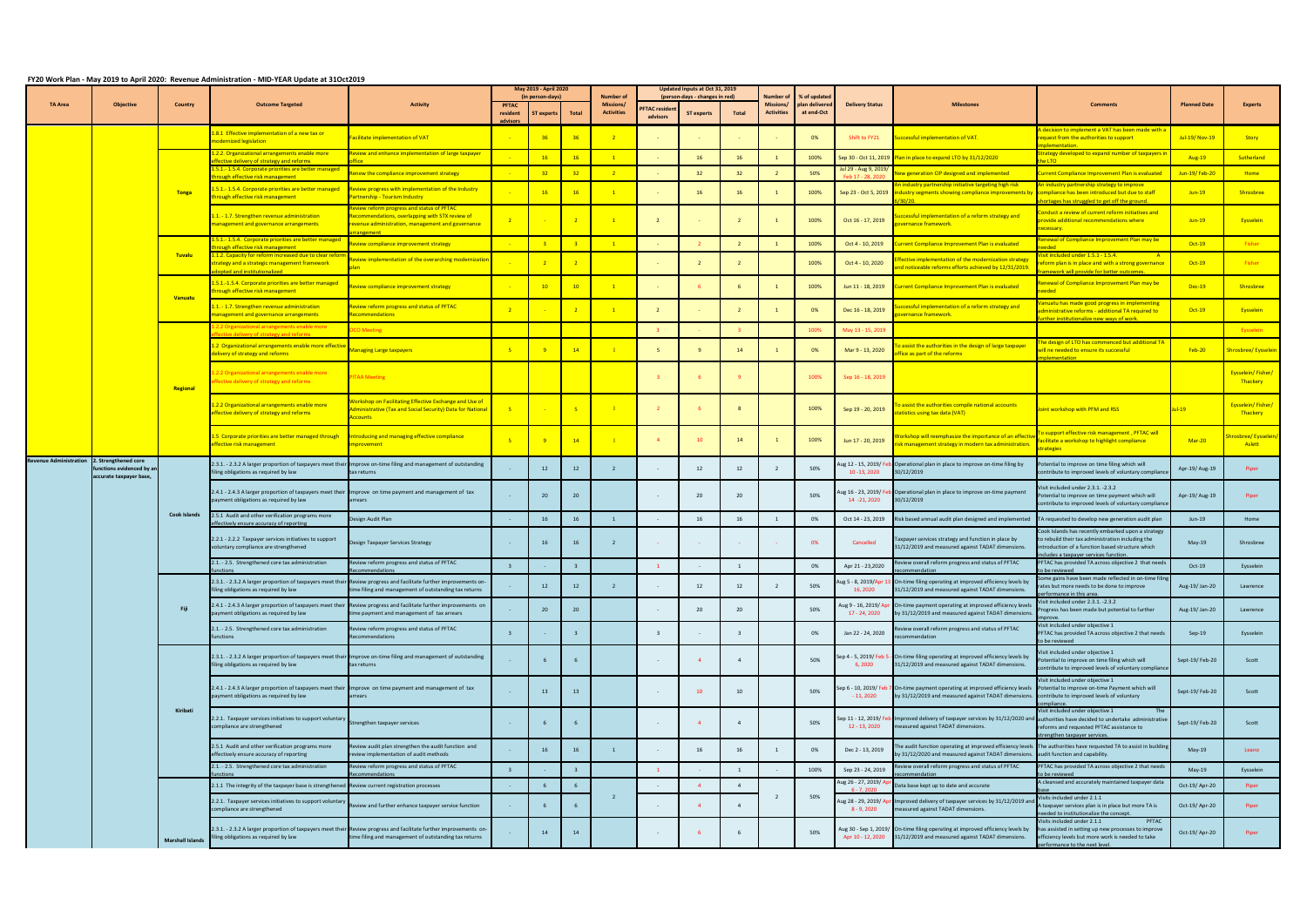|                               |                                                                               | May 2019 - April 2020                |                                                                                                                                                                             |                                                                                                                                                                             |                                     |                               | Updated Inputs at Oct 31, 2019 |                                                    |                                 | % of updatec<br>Number o'                           |                |                                       |                              |                                                                                                                                                        |                                                                                                                                                                                   |                                                                                                                                                                                                    |                             |                                      |
|-------------------------------|-------------------------------------------------------------------------------|--------------------------------------|-----------------------------------------------------------------------------------------------------------------------------------------------------------------------------|-----------------------------------------------------------------------------------------------------------------------------------------------------------------------------|-------------------------------------|-------------------------------|--------------------------------|----------------------------------------------------|---------------------------------|-----------------------------------------------------|----------------|---------------------------------------|------------------------------|--------------------------------------------------------------------------------------------------------------------------------------------------------|-----------------------------------------------------------------------------------------------------------------------------------------------------------------------------------|----------------------------------------------------------------------------------------------------------------------------------------------------------------------------------------------------|-----------------------------|--------------------------------------|
| <b>TA Area</b>                | <b>Objective</b>                                                              | <b>Country</b>                       | <b>Outcome Targeted</b>                                                                                                                                                     | <b>Activity</b>                                                                                                                                                             | <b>PFTAC</b><br>resident<br>advisor | (in person-days)<br>T experts | <b>Total</b>                   | Number of<br><b>Missions/</b><br><b>Activities</b> | <b>FTAC resider</b><br>advisors | (person-days - changes in red)<br><b>ST experts</b> | Total          | <b>Missions/</b><br><b>Activities</b> | plan delivered<br>at end-Oct | <b>Delivery Status</b>                                                                                                                                 | <b>Milestones</b>                                                                                                                                                                 | <b>Comments</b>                                                                                                                                                                                    | <b>Planned Date</b>         | <b>Experts</b>                       |
|                               |                                                                               |                                      | .8.1 Effective implementation of a new tax or<br>odernized legislation                                                                                                      | acilitate implementation of VAT                                                                                                                                             |                                     | 36 <sup>2</sup>               | 36                             | $\overline{2}$                                     |                                 |                                                     |                |                                       | 0%                           | Shift to FY21                                                                                                                                          | ccessful implementation of VAT.                                                                                                                                                   | decision to implement a VAT has been made with a<br>equest from the authorities to support<br><b>Iementation</b>                                                                                   | Jul-19/ Nov-19              | Story                                |
|                               |                                                                               |                                      | 2.2. Organizational arrangements enable more<br>ective delivery of strategy and reforms                                                                                     | eview and enhance implementation of large taxpayer                                                                                                                          |                                     | 16                            | 16                             | $\overline{1}$                                     |                                 | 16                                                  | 16             |                                       | 100%                         | Sep 30 - Oct 11, 201!                                                                                                                                  | Plan in place to expand LTO by 31/12/2020                                                                                                                                         | trategy developed to expand number of taxpayers i<br>$\overline{110}$                                                                                                                              | Aug-19                      | Sutherland                           |
|                               |                                                                               |                                      | .5.1.-1.5.4. Corporate priorities are better managed<br>ough effective risk management                                                                                      | new the compliance improvement strategy                                                                                                                                     |                                     | 32 <sub>2</sub>               | 32                             | $\overline{2}$                                     |                                 | 32                                                  | 32             |                                       | 50%                          | Jul 29 - Aug 9, 2019<br>Feb 17 - 28, 202                                                                                                               | w generation CIP designed and implemented                                                                                                                                         | urrent Compliance Improvement Plan is evaluated                                                                                                                                                    | Jun-19/Feb-20               | Home                                 |
|                               |                                                                               | <b>Tonga</b>                         | .5.1.-1.5.4. Corporate priorities are better managed<br><b>nrough effective risk management</b>                                                                             | Review progress with implementation of the Industry<br>artnership - Tourism Industry                                                                                        |                                     | 16                            | 16                             | $\overline{1}$                                     |                                 | 16                                                  |                |                                       | 100%                         | Sep 23 - Oct 5, 2019                                                                                                                                   | n industry partnership initiative targeting high risk<br>industry segments showing compliance improvements by                                                                     | n industry partnership strategy to improve<br>compliance has been introduced but due to staff                                                                                                      | $Jun-19$                    | Shrosbree                            |
|                               |                                                                               |                                      | .1. - 1.7. Strengthen revenue administration<br>nanagement and governance arrangements                                                                                      | eview reform progress and status of PFTAC<br>ecommendations, overlapping with STX review of<br>evenue administration, management and governance                             |                                     |                               |                                |                                                    |                                 |                                                     |                |                                       | 100%                         | Oct 16 - 17, 2019                                                                                                                                      | ccessful implementation of a reform strategy and<br>vernance framework.                                                                                                           | ortages has struggled to get off the ground.<br>onduct a review of current reform initiatives and<br>ovide additional recommendations where<br>ecessary.                                           | $Jun-19$                    | Eysselein                            |
|                               |                                                                               |                                      | .5.1.-1.5.4. Corporate priorities are better managed<br>ugh effective risk management                                                                                       | eview compliance improvement strategy                                                                                                                                       |                                     |                               |                                | $\overline{1}$                                     |                                 |                                                     |                |                                       | 100%                         | Oct 4 - 10, 2019                                                                                                                                       | rrent Compliance Improvement Plan is evaluated                                                                                                                                    | enewal of Compliance Improvement Plan may be                                                                                                                                                       | Oct-19                      | Fisher                               |
|                               |                                                                               | <b>Tuvalu</b>                        | .1.2. Capacity for reform increased due to clear refor<br>rategy and a strategic management framework<br>opted and institutionalized                                        | eview implementation of the overarching modernization                                                                                                                       |                                     |                               |                                |                                                    |                                 |                                                     |                |                                       | 100%                         | Oct 4 - 10, 2020                                                                                                                                       | ective implementation of the modernization strategy<br>nd noticeable reforms efforts achieved by 12/31/2019.                                                                      | <u>sit included under 1.5.1 - 1.5.4.</u><br>eform plan is in place and with a strong governance<br>mework will provide for better outcomes.                                                        | Oct-19                      | Fisher                               |
|                               |                                                                               |                                      | 5.1.-1.5.4. Corporate priorities are better managed<br>rough effective risk management                                                                                      | eview compliance improvement strategy                                                                                                                                       |                                     | 10                            | 10                             |                                                    |                                 |                                                     |                |                                       | 100%                         | Jun 11 - 18, 2019                                                                                                                                      | rrent Compliance Improvement Plan is evaluated                                                                                                                                    | newal of Compliance Improvement Plan may be                                                                                                                                                        | Dec-19                      | Shrosbree                            |
|                               |                                                                               | <b>Vanuatu</b>                       | 1. - 1.7. Strengthen revenue administration<br>anagement and governance arrangements                                                                                        | eview reform progress and status of PFTAC<br>ecommendations                                                                                                                 |                                     |                               |                                | $-1$                                               |                                 |                                                     |                |                                       | 0%                           | Dec 16 - 18, 2019                                                                                                                                      | cessful implementation of a reform strategy and<br>vernance framework.                                                                                                            | anuatu has made good progress in implementing<br>Iministrative reforms - additional TA required to<br>rther institutionalize new ways of work.                                                     | $Oct-19$                    | <b>Eysselein</b>                     |
|                               |                                                                               |                                      | 2.2 Organizational arrangements enable more<br>ctive delivery of strategy and reforms                                                                                       | <b>CO Meeting</b>                                                                                                                                                           |                                     |                               |                                |                                                    |                                 |                                                     |                |                                       | 100%                         | May 13 - 15, 2019                                                                                                                                      |                                                                                                                                                                                   |                                                                                                                                                                                                    |                             | Eysselein                            |
|                               |                                                                               |                                      | 2 Organizational arrangements enable more effectiv<br>elivery of strategy and reforms                                                                                       | Aanaging Large taxpayers                                                                                                                                                    |                                     |                               | 14                             | $\blacksquare$                                     |                                 | $\mathbf{q}$                                        | 14             |                                       | 0%                           | Mar 9 - 13, 2020                                                                                                                                       | assist the authorities in the design of large taxpayer<br>fice as part of the reforms                                                                                             | he design of LTO has commenced but additional TA<br>vill ne needed to ensure its successful<br>dementation                                                                                         | <b>Feb-20</b>               | hrosbree/ Eysselein                  |
|                               |                                                                               | Regional                             | 2.2 Organizational arrangements enable more<br>fective delivery of strategy and reforms $\blacksquare$                                                                      | <b>TAA Meeting</b>                                                                                                                                                          |                                     |                               |                                |                                                    |                                 |                                                     |                |                                       | 100%                         | Sep 16 - 18, 2019                                                                                                                                      |                                                                                                                                                                                   |                                                                                                                                                                                                    |                             | Eysselein/Fisher/<br><b>Thackery</b> |
|                               |                                                                               |                                      | 2.2 Organizational arrangements enable more<br>ffective delivery of strategy and reforms                                                                                    | orkshop on Facilitating Effective Exchange and Use of<br>dministrative (Tax and Social Security) Data for National<br><b>ccounts</b>                                        |                                     | <b>Carlos</b>                 | $-5$                           | $\blacksquare$                                     |                                 | -6                                                  |                |                                       | 100%                         | Sep 19 - 20, 2019                                                                                                                                      | assist the authorities compile national accounts<br>tatistics using tax data (VAT)                                                                                                | oint workshop with PFM and RSS                                                                                                                                                                     | $Jul-19$                    | Eysselein/Fisher/<br><b>Thackery</b> |
|                               | 5 Corporate priorities are better managed through<br>ffective risk management |                                      | Introducing and managing effective compliance<br>nprovement                                                                                                                 |                                                                                                                                                                             |                                     | 14                            | $\blacksquare$                 |                                                    | 10                              | 14                                                  |                | 100%                                  | Jun 17 - 20, 2019            | prkshop will reemphasize the importance of an effectiv<br>k management strategy in modern tax administration                                           | support effective risk management, PFTAC will<br>acilitate a workshop to highlight compliance<br><b>rategies</b>                                                                  | $Mar-20$                                                                                                                                                                                           | rosbree/Eysseleir<br>Aslett |                                      |
| <b>Revenue Administration</b> | 2. Strengthened core<br>functions evidenced by an<br>accurate taxpayer base,  |                                      | filing obligations as required by law                                                                                                                                       | 2.3.1. - 2.3.2 A larger proportion of taxpayers meet their Improve on-time filing and management of outstanding<br>tax returns                                              |                                     | 12                            | 12                             | $\overline{2}$                                     |                                 | 12                                                  | 12             |                                       | 50%                          | ug 12 - 15, 2019/F<br>10 - 13, 2020                                                                                                                    | Operational plan in place to improve on-time filing by<br>30/12/2019                                                                                                              | Potential to improve on time filing which will<br>contribute to improved levels of voluntary compliand                                                                                             | Apr-19/ Aug-19              | Piper                                |
|                               |                                                                               |                                      | 2.4.1 - 2.4.3 A larger proportion of taxpayers meet their Improve on time payment and management of tax<br>ayment obligations as required by law                            | arrears                                                                                                                                                                     |                                     | 20                            | 20                             |                                                    |                                 | 20                                                  | 20             |                                       | 50%                          | ug 16 - 23, 2019/ F<br>14 - 21, 2020                                                                                                                   | Operational plan in place to improve on-time payment<br>30/12/2019                                                                                                                | visit included under 2.3.1. -2.3.2<br>Potential to improve on time payment which will<br>contribute to improved levels of voluntary compliand                                                      | Apr-19/Aug-19               | Piper                                |
|                               |                                                                               | <b>Cook Islands</b>                  | 2.5.1 Audit and other verification programs more<br>fectively ensure accuracy of reporting                                                                                  | Design Audit Plan                                                                                                                                                           |                                     | 16                            | 16                             | 1                                                  |                                 | 16                                                  | 16             |                                       | 0%                           | Oct 14 - 23, 2019                                                                                                                                      | Risk based annual audit plan designed and implemented                                                                                                                             | TA requested to develop new generation audit plan                                                                                                                                                  | Jun-19                      | Home                                 |
|                               |                                                                               |                                      | 2.2.1 - 2.2.2 Taxpayer services initiatives to support<br>voluntary compliance are strengthened                                                                             | Design Taxpayer Services Strategy                                                                                                                                           | $\sim$ $ \sim$                      | 16                            | 16                             | $\overline{2}$                                     |                                 | <b>Contract</b>                                     |                |                                       | 0%                           | Cancelled                                                                                                                                              | Taxpayer services strategy and function in place by<br>31/12/2019 and measured against TADAT dimensions.                                                                          | Cook Islands has recently embarked upon a strategy<br>to rebuild their tax administration including the<br>introduction of a function based structure which<br>cludes a taxpaver services function | May-19                      | Shrosbree                            |
|                               |                                                                               |                                      | 2.1. - 2.5. Strengthened core tax administration                                                                                                                            | Review reform progress and status of PFTAC<br>ecommendations                                                                                                                |                                     |                               | $\overline{3}$                 |                                                    |                                 |                                                     |                |                                       | 0%                           | Apr 21 - 23,2020                                                                                                                                       | Review overall reform progress and status of PFTAC<br>commendation                                                                                                                | PFTAC has provided TA across objective 2 that need<br>to be reviewed                                                                                                                               | Oct-19                      | Eysselein                            |
|                               |                                                                               |                                      | ling obligations as required by law                                                                                                                                         | 2.3.1. - 2.3.2 A larger proportion of taxpayers meet their Review progress and facilitate further improvements on-<br>time filing and management of outstanding tax returns |                                     | 12                            | 12                             | 2                                                  |                                 | 12                                                  | 12             |                                       | 50%                          | 16, 2020                                                                                                                                               | Aug 5 - 8, 2019/Apr 13 On-time filing operating at improved efficiency levels by<br>31/12/2019 and measured against TADAT dimensions.                                             | Some gains have been made reflected in on-time filing<br>rates but more needs to be done to improve<br>erformance in this area.                                                                    | Aug-19/Jan-20               | Lawrence                             |
|                               |                                                                               | Fiji                                 | ayment obligations as required by law                                                                                                                                       | 2.4.1 - 2.4.3 A larger proportion of taxpayers meet their Review progress and facilitate further improvements on<br>time payment and management of tax arrears              |                                     | 20                            | 20                             |                                                    |                                 | 20                                                  | 20             |                                       | 50%                          | ug 9 - 16, 2019/ A<br>17 - 24, 2020                                                                                                                    | On-time payment operating at improved efficiency levels<br>by 31/12/2019 and measured against TADAT dimensions                                                                    | Visit included under 2.3.1. -2.3.2<br>Progress has been made but potential to further<br>inrove                                                                                                    | Aug-19/Jan-20               | Lawrence                             |
|                               |                                                                               |                                      | 2.1. - 2.5. Strengthened core tax administration<br><i><b>inctions</b></i>                                                                                                  | Review reform progress and status of PFTAC<br>Recommendations                                                                                                               |                                     |                               | 3                              |                                                    |                                 | $\sim$                                              |                |                                       | 0%                           | Jan 22 - 24, 2020                                                                                                                                      | Review overall reform progress and status of PFTAC<br>commendation                                                                                                                | Visit included under objective 1<br>PFTAC has provided TA across objective 2 that needs<br>to be reviewed                                                                                          | $Sep-19$                    | Eysselein                            |
|                               |                                                                               |                                      | iling obligations as required by law                                                                                                                                        | 2.3.1. - 2.3.2 A larger proportion of taxpayers meet their Improve on-time filing and management of outstanding<br>tax returns                                              |                                     |                               | 6                              |                                                    |                                 | $\overline{4}$                                      | $\overline{4}$ |                                       | 50%                          | Sep 4 - 5, 2019/Feb!<br>6,2020                                                                                                                         | - On-time filing operating at improved efficiency levels by<br>31/12/2019 and measured against TADAT dimensions.                                                                  | Visit included under objective 1<br>Potential to improve on time filing which will<br>contribute to improved levels of voluntary complianc                                                         | Sept-19/Feb-20              | Scott                                |
|                               |                                                                               |                                      | 2.4.1 - 2.4.3 A larger proportion of taxpayers meet their Improve on time payment and management of tax<br>ayment obligations as required by law                            | arrears                                                                                                                                                                     |                                     | 13                            | 13                             |                                                    |                                 | 10                                                  | 10             |                                       | 50%                          | Sep 6 - 10, 2019/ Feb<br>$-11,2020$                                                                                                                    | On-time payment operating at improved efficiency levels<br>by 31/12/2019 and measured against TADAT dimensions.                                                                   | Visit included under objective 1<br>Potential to improve on-time Payment which will<br>contribute to improved levels of voluntary<br>mpliance.                                                     | Sept-19/Feb-20              | Scott                                |
|                               | Kiribati                                                                      |                                      | 2.2.1. Taxpayer services initiatives to support voluntary<br>ompliance are strengthened                                                                                     | trengthen taxpayer services                                                                                                                                                 | <b>College</b>                      |                               | 6                              |                                                    |                                 | $\overline{4}$                                      | $\overline{4}$ |                                       | 50%                          | Sep 11 - 12, 2019/ <mark>F</mark> e<br>12 - 13, 2020                                                                                                   | Improved delivery of taxpayer services by 31/12/2020 and authorities have decided to undertake administrative<br>measured against TADAT dimensions.                               | Visit included under objective 1<br>The<br>reforms and requested PFTAC assistance to<br>rengthen taxpayer services.                                                                                | Sept-19/Feb-20              | Scott                                |
|                               |                                                                               |                                      | 2.5.1 Audit and other verification programs more<br>effectively ensure accuracy of reporting                                                                                | Review audit plan strengthen the audit function and<br>review implementation of audit methods                                                                               |                                     | 16                            | 16                             | <sup>1</sup>                                       |                                 | 16                                                  | 16             |                                       | 0%                           | Dec 2 - 13, 2019                                                                                                                                       | The audit function operating at improved efficiency levels The authorities have requested TA to assist in buildir<br>by 31/12/2020 and measured against TADAT dimensions          | audit function and capability.                                                                                                                                                                     | May-19                      | Leano                                |
|                               |                                                                               |                                      | 2.1. - 2.5. Strengthened core tax administration                                                                                                                            | Review reform progress and status of PFTAC<br>ecommendations                                                                                                                | $\overline{\mathbf{3}}$             |                               | $\overline{\mathbf{3}}$        |                                                    |                                 |                                                     | 1              |                                       | 100%                         | Sep 23 - 24, 2019                                                                                                                                      | Review overall reform progress and status of PFTAC<br>ommendation                                                                                                                 | PFTAC has provided TA across objective 2 that needs<br>o be reviewed                                                                                                                               | $May-19$                    | Eysselein                            |
|                               |                                                                               |                                      | 2.1.1 The integrity of the taxpayer base is strengthened Review current registration processes                                                                              |                                                                                                                                                                             |                                     |                               | 6                              |                                                    |                                 | $\overline{4}$                                      | $\overline{4}$ |                                       |                              | ug 26 - 27, 2019/<br>$6 - 7,2020$                                                                                                                      | Data base kept up to date and accurate                                                                                                                                            | A cleansed and accurately maintained taxpayer data                                                                                                                                                 | Oct-19/ Apr-20              | Piper                                |
|                               |                                                                               |                                      | 2.2.1. Taxpayer services initiatives to support voluntary<br>ompliance are strengthened                                                                                     | Review and further enhance taxpayer service function                                                                                                                        |                                     |                               |                                | $\overline{2}$                                     |                                 | $\Delta$                                            |                |                                       | 50%                          | Aug 28 - 29, 2019/A<br>8 - 9, 2020                                                                                                                     | Improved delivery of taxpayer services by 31/12/2019 an<br>measured against TADAT dimensions.                                                                                     | Visits included under 2.1.1<br>taxpayer services plan is in place but more TA is<br>eeded to institutionalize the concept                                                                          | Oct-19/ Apr-20              | Piper                                |
|                               | <b>Marshall Islands</b>                                                       | iling obligations as required by law | 2.3.1. - 2.3.2 A larger proportion of taxpayers meet their Review progress and facilitate further improvements on-<br>time filing and management of outstanding tax returns |                                                                                                                                                                             | 14                                  | 14                            |                                |                                                    | -6                              |                                                     |                | 50%                                   |                              | Aug 30 - Sep 1, 2019/ On-time filing operating at improved efficiency levels by<br>Apr 10 - 12, 2020 31/12/2019 and measured against TADAT dimensions. | isits included under 2.1.1<br>PFTAC<br>has assisted in setting up new processes to improve<br>efficiency levels but more work is needed to take<br>berformance to the next level. | Oct-19/Apr-20                                                                                                                                                                                      | Piper                       |                                      |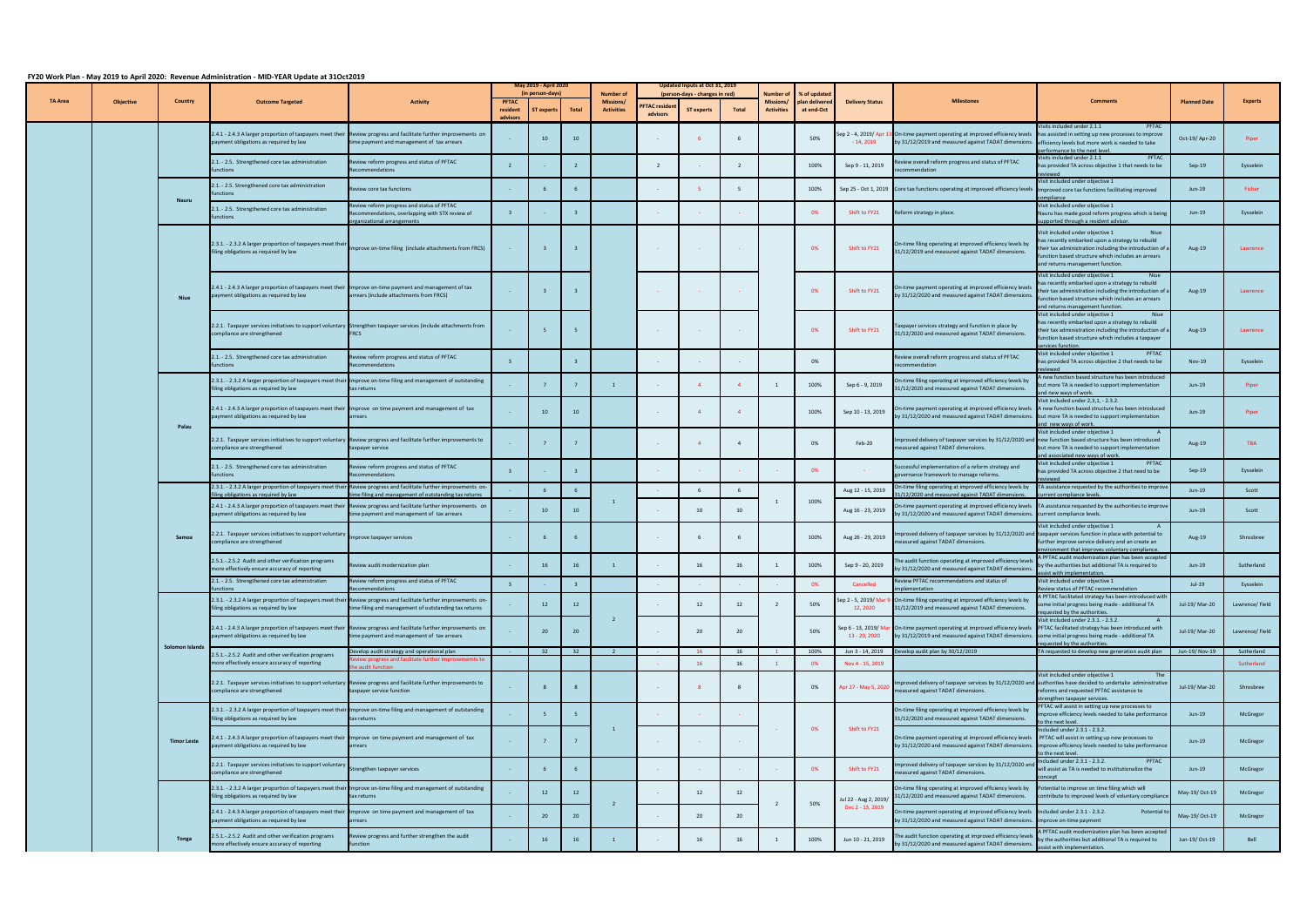| $1 - 0$ $1 - 0$ $1 - 1$ $1 - 1$ $1 - 1$ $1 - 0$ $1 - 0$ $1 - 0$ $1 - 0$ |                    |                             |                                                                                                                                                   |                                                                                                                                                                             | May 2019 - April 2020<br>(in person-days) |             |       |                                                    | Updated Inputs at Oct 31, 2019  |                                                     |              |                                                    |                            | % of update                             |                                                                                                                                                                      |                                                                                                                                                                                                                                                    |                     |                         |
|-------------------------------------------------------------------------|--------------------|-----------------------------|---------------------------------------------------------------------------------------------------------------------------------------------------|-----------------------------------------------------------------------------------------------------------------------------------------------------------------------------|-------------------------------------------|-------------|-------|----------------------------------------------------|---------------------------------|-----------------------------------------------------|--------------|----------------------------------------------------|----------------------------|-----------------------------------------|----------------------------------------------------------------------------------------------------------------------------------------------------------------------|----------------------------------------------------------------------------------------------------------------------------------------------------------------------------------------------------------------------------------------------------|---------------------|-------------------------|
| <b>TA Area</b>                                                          | <b>Objective</b>   | <b>Country</b>              | <b>Outcome Targeted</b>                                                                                                                           | <b>Activity</b>                                                                                                                                                             | <b>PFTAC</b><br>resident                  | T experts   | Total | <b>Number of</b><br>Missions/<br><b>Activities</b> | <b>FTAC residen</b><br>advisors | (person-days - changes in red)<br><b>ST experts</b> | <b>Total</b> | Number of<br><b>Missions/</b><br><b>Activities</b> | lan delivere<br>at end-Oct | <b>Delivery Status</b>                  | <b>Milestones</b>                                                                                                                                                    | <b>Comments</b>                                                                                                                                                                                                                                    | <b>Planned Date</b> | <b>Experts</b>          |
|                                                                         |                    |                             | payment obligations as required by law                                                                                                            | 2.4.1 - 2.4.3 A larger proportion of taxpayers meet their Review progress and facilitate further improvements on<br>time payment and management of tax arrears              |                                           | 10          | 10    |                                                    |                                 |                                                     |              |                                                    | 50%                        | Sep 2 - 4, 2019/ Apr 1<br>$-14, 2019$   | 3 On-time payment operating at improved efficiency levels<br>by 31/12/2019 and measured against TADAT dimensions.                                                    | isits included under 2.1.1<br>PFTAC<br>has assisted in setting up new processes to improve<br>efficiency levels but more work is needed to take<br>erformance to the next leve                                                                     | Oct-19/Apr-20       | Piper                   |
|                                                                         |                    |                             | 2.1. - 2.5. Strengthened core tax administration<br>unctions                                                                                      | Review reform progress and status of PFTAC<br>Recommendations                                                                                                               | $\overline{z}$                            |             |       |                                                    | $\overline{2}$                  | $\sim$                                              |              |                                                    | 100%                       | Sep 9 - 11, 2019                        | Review overall reform progress and status of PFTAC<br>ecommendation                                                                                                  | PFTAC<br>Visits included under 2.1.1<br>has provided TA across objective 1 that needs to be<br>viewed                                                                                                                                              | Sep-19              | Eysselein               |
|                                                                         |                    | <b>Nauru</b>                | 2.1. - 2.5. Strengthened core tax administration                                                                                                  | Review core tax functions                                                                                                                                                   |                                           |             |       |                                                    |                                 | -5                                                  |              |                                                    | 100%                       |                                         | Sep 25 - Oct 1, 2019 Core tax functions operating at improved efficiency levels                                                                                      | Visit included under objective 1<br>Improved core tax functions facilitating improved<br>mpliance                                                                                                                                                  | Jun-19              | Fisher                  |
|                                                                         |                    |                             | 2.1. - 2.5. Strengthened core tax administration<br><i><b>inctions</b></i>                                                                        | view reform progress and status of PFTAC<br>ecommendations, overlapping with STX review of<br>rganizational arrangements                                                    |                                           |             |       |                                                    |                                 |                                                     |              |                                                    | 0%                         | Shift to FY21                           | Reform strategy in place.                                                                                                                                            | Visit included under objective 1<br>Nauru has made good reform progress which is being<br>pported through a resident advisor.                                                                                                                      | $Jun-19$            | Eysselein               |
|                                                                         |                    |                             | 2.3.1. - 2.3.2 A larger proportion of taxpayers meet thei<br>filing obligations as required by law                                                | Improve on-time filing (include attachments from FRCS)                                                                                                                      |                                           |             |       |                                                    | <b>Contract</b>                 | <b>Contract</b>                                     |              |                                                    | 0%                         | Shift to FY21                           | On-time filing operating at improved efficiency levels by<br>31/12/2019 and measured against TADAT dimensions.                                                       | Niue<br>Visit included under objective 1<br>has recently embarked upon a strategy to rebuild<br>their tax administration including the introduction of a<br>function based structure which includes an arrears<br>and returns management function. | Aug-19              | Lawrence                |
|                                                                         |                    | <b>Niue</b>                 | 2.4.1 - 2.4.3 A larger proportion of taxpayers meet their Improve on-time payment and management of tax<br>payment obligations as required by law | arrears (include attachments from FRCS)                                                                                                                                     | $\sim 100$                                |             |       |                                                    | <b>Contract</b>                 | <b>Contract</b>                                     |              |                                                    | 0%                         | Shift to FY21                           | On-time payment operating at improved efficiency levels<br>by 31/12/2020 and measured against TADAT dimensions                                                       | Visit included under objective 1<br>has recently embarked upon a strategy to rebuild<br>their tax administration including the introduction of a<br>function based structure which includes an arrears<br>and returns management function          | Aug-19              | Lawrence                |
|                                                                         |                    |                             | compliance are strengthened                                                                                                                       | 2.2.1. Taxpayer services initiatives to support voluntary Strengthen taxpayer services (include attachments from<br><b>FRCS</b>                                             |                                           |             |       |                                                    |                                 | $\sim$                                              |              |                                                    | 0%                         | Shift to FY21                           | Taxpayer services strategy and function in place by<br>31/12/2020 and measured against TADAT dimensions.                                                             | Visit included under objective 1<br>has recently embarked upon a strategy to rebuild<br>their tax administration including the introduction of a<br>function based structure which includes a taxpayer<br>ervices function.                        | Aug-19              | Lawrence                |
|                                                                         |                    |                             | 2.1. - 2.5. Strengthened core tax administration<br><i><b>inctions</b></i>                                                                        | view reform progress and status of PFTAC<br>ecommendations                                                                                                                  |                                           |             |       |                                                    |                                 |                                                     |              |                                                    | 0%                         |                                         | Review overall reform progress and status of PFTAC<br>recommendation                                                                                                 | Visit included under objective 1<br>PFTAC<br>has provided TA across objective 2 that needs to be<br>viewed                                                                                                                                         | Nov-19              | Eysselein               |
|                                                                         |                    |                             | 2.3.1. - 2.3.2 A larger proportion of taxpayers meet their<br>filing obligations as required by law                                               | Improve on-time filing and management of outstanding<br>tax returns                                                                                                         |                                           | $7^{\circ}$ |       | $\overline{1}$                                     |                                 | $\overline{4}$                                      |              |                                                    | 100%                       | Sep 6 - 9, 2019                         | On-time filing operating at improved efficiency levels by<br>31/12/2020 and measured against TADAT dimensions.                                                       | new function based structure has been introduced<br>but more TA is needed to support implementation<br>and new ways of work.                                                                                                                       | Jun-19              | Piper                   |
|                                                                         |                    | Palau                       | 2.4.1 - 2.4.3 A larger proportion of taxpayers meet their Improve on time payment and management of tax<br>payment obligations as required by law | arrears                                                                                                                                                                     |                                           | 10          | 10    |                                                    |                                 | $\overline{4}$                                      |              |                                                    | 100%                       | Sep 10 - 13, 2019                       | On-time payment operating at improved efficiency levels<br>by 31/12/2020 and measured against TADAT dimensions.                                                      | Visit included under 2,3,1, - 2.3.2.<br>A new function based structure has been introduced<br>but more TA is needed to support implementation<br>and new ways of work.                                                                             | $Jun-19$            | Piper                   |
|                                                                         |                    | compliance are strengthened |                                                                                                                                                   | 2.2.1. Taxpayer services initiatives to support voluntary Review progress and facilitate further improvements to<br>taxpayer service                                        |                                           |             |       |                                                    |                                 | $\overline{4}$                                      |              |                                                    | 0%                         | Feb-20                                  | Improved delivery of taxpayer services by 31/12/2020 and<br>measured against TADAT dimensions.                                                                       | Visit included under objective 1<br>new function based structure has been introduced<br>but more TA is needed to support implementation<br>and associated new ways of work.                                                                        | Aug-19              | <b>TBA</b>              |
|                                                                         |                    |                             | 2.1. - 2.5. Strengthened core tax administration<br>unctions                                                                                      | Review reform progress and status of PFTAC<br>Recommendations                                                                                                               |                                           |             |       |                                                    |                                 | <b>Contract</b>                                     |              |                                                    | 0%                         |                                         | Successful implementation of a reform strategy and<br>governance framework to manage reforms.                                                                        | Visit included under objective 1<br>PFTAC<br>has provided TA across objective 2 that need to be                                                                                                                                                    | $Sep-19$            | Eysselein               |
|                                                                         |                    |                             | 2.3.1. - 2.3.2 A larger proportion of taxpayers meet thei<br>filing obligations as required by law                                                | Review progress and facilitate further improvements on-<br>me filing and management of outstanding tax returns                                                              |                                           |             |       |                                                    |                                 | 6                                                   |              |                                                    |                            | Aug 12 - 15, 2019                       | On-time filing operating at improved efficiency levels by<br>31/12/2020 and measured against TADAT dimensions.                                                       | TA assistance requested by the authorities to improv<br>current compliance levels                                                                                                                                                                  | $Jun-19$            | Scott                   |
|                                                                         |                    |                             | 2.4.1 - 2.4.3 A larger proportion of taxpayers meet their<br>payment obligations as required by law                                               | Review progress and facilitate further improvements on<br>time payment and management of tax arrears                                                                        |                                           | 10          | 10    | $\mathbf{1}$                                       |                                 | 10                                                  | 10           |                                                    | 100%                       | Aug 16 - 23, 2019                       | On-time payment operating at improved efficiency levels TA assistance requested by the authorities to improv<br>by 31/12/2020 and measured against TADAT dimensions. | current compliance levels.                                                                                                                                                                                                                         | $Jun-19$            | Scott                   |
|                                                                         |                    | Samoa                       | .2.1. Taxpayer services initiatives to support voluntaı<br>ompliance are strengthened                                                             | nprove taxpayer services                                                                                                                                                    | $\sim$                                    |             |       |                                                    |                                 | 6                                                   |              |                                                    | 100%                       | Aug 26 - 29, 2019                       | mproved delivery of taxpayer services by 31/12/2020 and<br>measured against TADAT dimensions.                                                                        | Visit included under objective 1<br>taxpayer services function in place with potential to<br>further improve service delivery and an create an<br>vironment that improves voluntary compliance.                                                    | Aug-19              | Shrosbree               |
|                                                                         |                    |                             | .5.1.-. 2.5.2 Audit and other verification programs<br>more effectively ensure accuracy of reporting                                              | Review audit modernization plan                                                                                                                                             |                                           | 16          | 16    |                                                    |                                 | 16                                                  |              |                                                    | 100%                       | Sep 9 - 20, 2019                        | The audit function operating at improved efficiency levels<br>by 31/12/2020 and measured against TADAT dimensions.                                                   | A PFTAC audit modernization plan has been accepted<br>by the authorities but additional TA is required to<br>ssist with implementation.                                                                                                            | $Jun-19$            | Sutherland              |
|                                                                         |                    |                             | 2.1. - 2.5. Strengthened core tax administration<br>nctions                                                                                       | view reform progress and status of PFTAC<br>commendations                                                                                                                   |                                           |             |       |                                                    |                                 |                                                     |              |                                                    | 0%                         | Cancelled                               | Review PFTAC recommendations and status of<br>lementation                                                                                                            | Visit included under objective 1<br>Review status of PFTAC recommendation                                                                                                                                                                          | $Jul-19$            | Eysselein               |
|                                                                         |                    |                             | iling obligations as required by law                                                                                                              | 2.3.1. - 2.3.2 A larger proportion of taxpayers meet their Review progress and facilitate further improvements on-<br>time filing and management of outstanding tax returns |                                           | 12          | 12    |                                                    |                                 | 12                                                  | 12           | $\overline{2}$                                     | 50%                        | iep 2 - 5, 2019/Ma<br>12, 2020          | On-time filing operating at improved efficiency levels by<br>31/12/2019 and measured against TADAT dimensions.                                                       | A PFTAC facilitated strategy has been introduced with<br>ome initial progress being made - additional TA<br>quested by the authorities.                                                                                                            | Jul-19/ Mar-20      | Lawrence/Field          |
|                                                                         |                    | Solomon Islands             | payment obligations as required by law                                                                                                            | 2.4.1 - 2.4.3 A larger proportion of taxpayers meet their Review progress and facilitate further improvements on<br>time payment and management of tax arrears              |                                           | 20          | 20    | <sup>2</sup>                                       |                                 | 20                                                  | 20           |                                                    | 50%                        | iep 6 - 13, 2019/ Mai<br>13 - 20, 2020  | r On-time payment operating at improved efficiency levels<br>by 31/12/2019 and measured against TADAT dimensions.                                                    | Visit included under 2.3.1. - 2.3.2.<br>PFTAC facilitated strategy has been introduced with<br>some initial progress being made - additional TA<br>equested by the authorities.                                                                    | Jul-19/ Mar-20      | Lawrence/Field          |
|                                                                         |                    |                             | 2.5.1.-. 2.5.2 Audit and other verification programs                                                                                              | velop audit strategy and operational plan<br>iew progress and facilitate further improvememts to                                                                            |                                           |             | 32 32 |                                                    |                                 |                                                     | - 16         |                                                    | 100%                       | Jun 3 - 14, 2019                        | Develop audit plan by 30/12/2019                                                                                                                                     | TA requested to develop new generation audit plan Jun-19/Nov-19                                                                                                                                                                                    |                     | Sutherland              |
|                                                                         |                    |                             | more effectively ensure accuracy of reporting<br>compliance are strengthened                                                                      | audit function<br>2.2.1. Taxpayer services initiatives to support voluntary Review progress and facilitate further improvements to<br>taxpayer service function             |                                           |             |       |                                                    |                                 | 16<br>8                                             | 16           |                                                    | 0%<br>0%                   | Nov 4 - 15, 2019<br>Apr 27 - May 5, 202 | mproved delivery of taxpayer services by 31/12/2020 and<br>measured against TADAT dimensions.                                                                        | Visit included under objective 1<br>authorities have decided to undertake administrative<br>reforms and requested PFTAC assistance to                                                                                                              | Jul-19/ Mar-20      | Sutherland<br>Shrosbree |
|                                                                         |                    |                             | 2.3.1. - 2.3.2 A larger proportion of taxpayers meet the<br>filing obligations as required by law                                                 | mprove on-time filing and management of outstanding<br>tax returns                                                                                                          |                                           |             | -5    |                                                    |                                 |                                                     |              |                                                    |                            |                                         | On-time filing operating at improved efficiency levels by<br>31/12/2020 and measured against TADAT dimensions.                                                       | strengthen taxpayer services<br>PFTAC will assist in setting up new processes to<br>mprove efficiency levels needed to take performance                                                                                                            | $Jun-19$            | McGregor                |
|                                                                         | <b>Timor Leste</b> |                             | .4.1 - 2.4.3 A larger proportion of taxpayers meet their Improve on time payment and management of tax<br>payment obligations as required by law  | arrears                                                                                                                                                                     |                                           |             |       | <sup>1</sup>                                       |                                 | <b>College</b>                                      |              |                                                    | 0%                         | Shift to FY21                           | On-time payment operating at improved efficiency levels<br>by 31/12/2020 and measured against TADAT dimensions                                                       | to the next level<br>Included under 2.3.1 - 2.3.2.<br>PFTAC will assist in setting up new processes to<br>improve efficiency levels needed to take performance<br>to the next level                                                                | $Jun-19$            | McGregor                |
|                                                                         |                    |                             | 2.2.1. Taxpayer services initiatives to support voluntary<br>ompliance are strengthened                                                           | Strengthen taxpayer services                                                                                                                                                |                                           |             |       |                                                    |                                 |                                                     |              |                                                    | 0%                         | Shift to FY21                           | Improved delivery of taxpayer services by 31/12/2020 an<br>measured against TADAT dimensions.                                                                        | Included under 2.3.1 - 2.3.2.<br>PFTAC<br>will assist as TA is needed to institutionalize the<br>oncent                                                                                                                                            | $Jun-19$            | McGregor                |
|                                                                         |                    |                             | 2.3.1. - 2.3.2 A larger proportion of taxpayers meet the<br>filing obligations as required by law                                                 | mprove on-time filing and management of outstanding<br>tax returns                                                                                                          |                                           | 12          | 12    | $\overline{2}$                                     |                                 | 12                                                  | 12           | $\overline{2}$                                     | 50%                        | Jul 22 - Aug 2, 2019,                   | On-time filing operating at improved efficiency levels by<br>31/12/2020 and measured against TADAT dimensions.                                                       | Potential to improve on time filing which will<br>contribute to improved levels of voluntary complianc                                                                                                                                             | May-19/ Oct-19      | McGregor                |
|                                                                         |                    |                             | 2.4.1 - 2.4.3 A larger proportion of taxpayers meet thei<br>payment obligations as required by law                                                | Improve on time payment and management of tax<br>arrears                                                                                                                    |                                           | 20          | 20    |                                                    |                                 | 20                                                  |              |                                                    |                            | Dec 2 - 13, 2019                        | On-time payment operating at improved efficiency levels<br>by 31/12/2020 and measured against TADAT dimensions.                                                      | Included under 2.3.1 - 2.3.2.<br>Potential to<br>improve on-time payment                                                                                                                                                                           | May-19/ Oct-19      | McGregor                |
|                                                                         | Tonga              |                             | 2.5.1.-. 2.5.2 Audit and other verification programs<br>more effectively ensure accuracy of reporting                                             | view progress and further strengthen the audit<br>unction                                                                                                                   |                                           | 16          | 16    | 1                                                  |                                 | 16                                                  | 16           |                                                    | 100%                       | Jun 10 - 21, 2019                       | The audit function operating at improved efficiency level<br>by 31/12/2020 and measured against TADAT dimensions                                                     | A PFTAC audit modernization plan has been accepte<br>by the authorities but additional TA is required to<br>ssist with implementation.                                                                                                             | Jun-19/ Oct-19      | Bell                    |